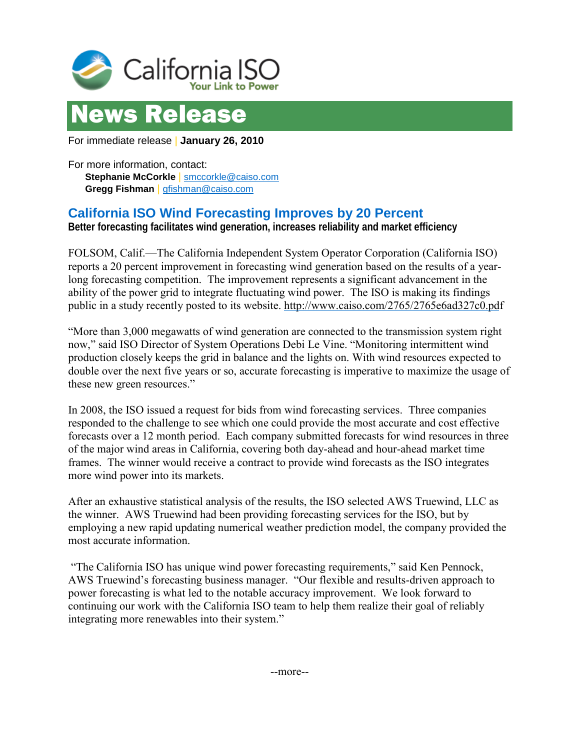



For immediate release | **January 26, 2010** 

For more information, contact: **Stephanie McCorkle** | [smccorkle@caiso.com](mailto:smccorkle@caiso.com) **Gregg Fishman** | [gfishman@caiso.com](mailto:gfishman@caiso.com)

## **California ISO Wind Forecasting Improves by 20 Percent**

**Better forecasting facilitates wind generation, increases reliability and market efficiency**

FOLSOM, Calif.—The California Independent System Operator Corporation (California ISO) reports a 20 percent improvement in forecasting wind generation based on the results of a yearlong forecasting competition. The improvement represents a significant advancement in the ability of the power grid to integrate fluctuating wind power. The ISO is making its findings public in a study recently posted to its website.<http://www.caiso.com/2765/2765e6ad327c0.pdf>

"More than 3,000 megawatts of wind generation are connected to the transmission system right now," said ISO Director of System Operations Debi Le Vine. "Monitoring intermittent wind production closely keeps the grid in balance and the lights on. With wind resources expected to double over the next five years or so, accurate forecasting is imperative to maximize the usage of these new green resources."

In 2008, the ISO issued a request for bids from wind forecasting services. Three companies responded to the challenge to see which one could provide the most accurate and cost effective forecasts over a 12 month period. Each company submitted forecasts for wind resources in three of the major wind areas in California, covering both day-ahead and hour-ahead market time frames. The winner would receive a contract to provide wind forecasts as the ISO integrates more wind power into its markets.

After an exhaustive statistical analysis of the results, the ISO selected AWS Truewind, LLC as the winner. AWS Truewind had been providing forecasting services for the ISO, but by employing a new rapid updating numerical weather prediction model, the company provided the most accurate information.

 "The California ISO has unique wind power forecasting requirements," said Ken Pennock, AWS Truewind's forecasting business manager. "Our flexible and results-driven approach to power forecasting is what led to the notable accuracy improvement. We look forward to continuing our work with the California ISO team to help them realize their goal of reliably integrating more renewables into their system."